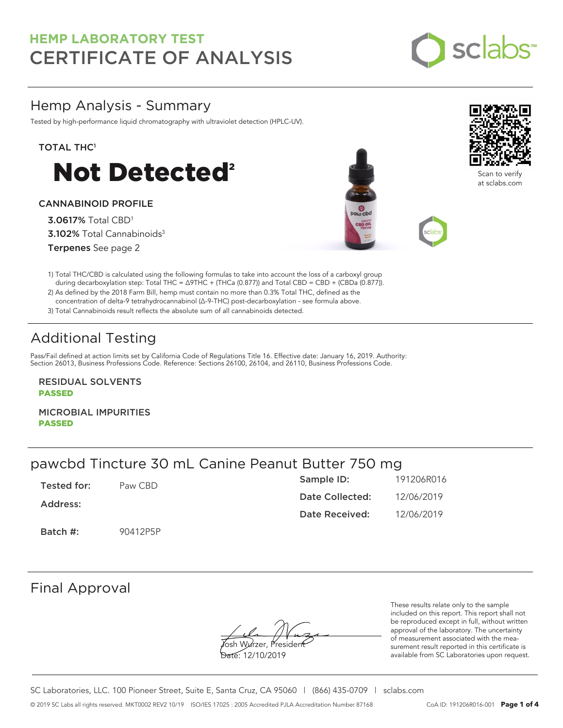

# Hemp Analysis - Summary

Tested by high-performance liquid chromatography with ultraviolet detection (HPLC-UV).

### TOTAL THC<sup>1</sup>



### CANNABINOID PROFILE

3.0617% Total CBD<sup>1</sup> 3.102% Total Cannabinoids<sup>3</sup> Terpenes See page 2





Scan to verify at sclabs.com

1) Total THC/CBD is calculated using the following formulas to take into account the loss of a carboxyl group during decarboxylation step: Total THC = ∆9THC + (THCa (0.877)) and Total CBD = CBD + (CBDa (0.877)).

2) As defined by the 2018 Farm Bill, hemp must contain no more than 0.3% Total THC, defined as the concentration of delta-9 tetrahydrocannabinol (Δ-9-THC) post-decarboxylation - see formula above.

3) Total Cannabinoids result reflects the absolute sum of all cannabinoids detected.

# Additional Testing

Pass/Fail defined at action limits set by California Code of Regulations Title 16. Effective date: January 16, 2019. Authority: Section 26013, Business Professions Code. Reference: Sections 26100, 26104, and 26110, Business Professions Code.

RESIDUAL SOLVENTS PASSED

MICROBIAL IMPURITIES PASSED

# pawcbd Tincture 30 mL Canine Peanut Butter 750 mg

| Tested for: | Paw CBD  | Sample ID:      | 191206R016 |
|-------------|----------|-----------------|------------|
| Address:    |          | Date Collected: | 12/06/2019 |
|             |          | Date Received:  | 12/06/2019 |
| Batch #:    | 90412P5P |                 |            |

### Final Approval

**J**osh Wurzer, Presiden<del>t</del>

Date: 12/10/2019

These results relate only to the sample included on this report. This report shall not be reproduced except in full, without written approval of the laboratory. The uncertainty of measurement associated with the measurement result reported in this certificate is available from SC Laboratories upon request.

SC Laboratories, LLC. 100 Pioneer Street, Suite E, Santa Cruz, CA 95060 | (866) 435-0709 | sclabs.com © 2019 SC Labs all rights reserved. MKT0002 REV2 10/19 ISO/IES 17025 : 2005 Accredited PJLA Accreditation Number 87168 CoA ID: 191206R016-001 **Page 1 of 4**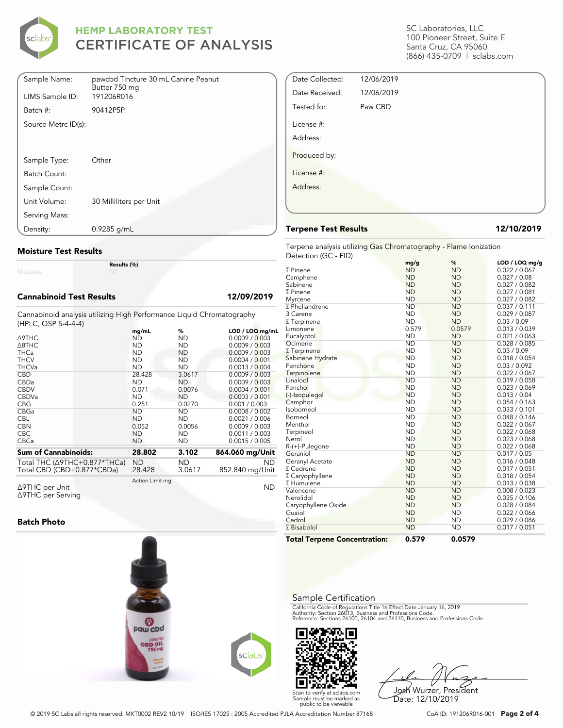

| Sample Name:        | pawcbd Tincture 30 mL Canine Peanut |
|---------------------|-------------------------------------|
| LIMS Sample ID:     | Butter 750 mg<br>191206R016         |
| Batch #:            | 90412P5P                            |
| Source Metrc ID(s): |                                     |
|                     |                                     |
|                     |                                     |
| Sample Type:        | Other                               |
| Batch Count:        |                                     |
| Sample Count:       |                                     |
| Unit Volume:        | 30 Milliliters per Unit             |
| Serving Mass:       |                                     |
| Density:            | $0.9285$ g/mL                       |

#### **Moisture Test Results**

Moisture

#### **Cannabinoid Test Results 12/09/2019**

Cannabinoid analysis utilizing High Performance Liquid Chromatography (HPLC, QSP 5-4-4-4)

**Results (%)**

|                                                                        | mg/mL               | %             | LOD / LOQ mg/mL              |
|------------------------------------------------------------------------|---------------------|---------------|------------------------------|
| <b>A9THC</b>                                                           | ND.                 | ND            | 0.0009 / 0.003               |
| $\triangle$ 8THC                                                       | <b>ND</b>           | ND.           | 0.0009 / 0.003               |
| <b>THCa</b>                                                            | <b>ND</b>           | ND            | 0.0009 / 0.003               |
| <b>THCV</b>                                                            | <b>ND</b>           | <b>ND</b>     | 0.0004 / 0.001               |
| <b>THCVa</b>                                                           | <b>ND</b>           | <b>ND</b>     | 0.0013 / 0.004               |
| <b>CBD</b>                                                             | 28.428              | 3.0617        | 0.0009 / 0.003               |
| CBDa                                                                   | <b>ND</b>           | ND.           | 0.0009 / 0.003               |
| <b>CBDV</b>                                                            | 0.071               | 0.0076        | 0.0004 / 0.001               |
| <b>CBDVa</b>                                                           | <b>ND</b>           | <b>ND</b>     | 0.0003 / 0.001               |
| <b>CBG</b>                                                             | 0.251               | 0.0270        | 0.001 / 0.003                |
| CBGa                                                                   | <b>ND</b>           | ND.           | 0.0008 / 0.002               |
| <b>CBL</b>                                                             | <b>ND</b>           | <b>ND</b>     | 0.0021 / 0.006               |
| <b>CBN</b>                                                             | 0.052               | 0.0056        | 0.0009 / 0.003               |
| <b>CBC</b>                                                             | <b>ND</b>           | <b>ND</b>     | 0.0011 / 0.003               |
| <b>CBCa</b>                                                            | <b>ND</b>           | <b>ND</b>     | 0.0015 / 0.005               |
| <b>Sum of Cannabinoids:</b>                                            | 28.802              | 3.102         | 864.060 mg/Unit              |
| Total THC ( $\triangle$ 9THC+0.877*THCa)<br>Total CBD (CBD+0.877*CBDa) | <b>ND</b><br>28.428 | ND.<br>3.0617 | <b>ND</b><br>852.840 mg/Unit |
| ∆9THC per Unit                                                         | Action Limit mg     |               | <b>ND</b>                    |

Δ9THC per Unit Δ9THC per Serving

#### **Batch Photo**



SC Laboratories, LLC 100 Pioneer Street, Suite E Santa Cruz, CA 95060 (866) 435-0709 | sclabs.com

| Date Collected: | 12/06/2019 |  |
|-----------------|------------|--|
| Date Received:  | 12/06/2019 |  |
| Tested for:     | Paw CBD    |  |
| License #:      |            |  |
| Address:        |            |  |
| Produced by:    |            |  |
| License #:      |            |  |
| Address:        |            |  |
|                 |            |  |
|                 |            |  |

#### **Terpene Test Results 12/10/2019**

Terpene analysis utilizing Gas Chromatography - Flame Ionization Detection (GC - FID)

|                                     | mg/g      | %         | LOD / LOQ mg/g |
|-------------------------------------|-----------|-----------|----------------|
| <b>7</b> Pinene                     | <b>ND</b> | <b>ND</b> | 0.022 / 0.067  |
| Camphene                            | <b>ND</b> | <b>ND</b> | 0.027 / 0.08   |
| Sabinene                            | <b>ND</b> | <b>ND</b> | 0.027 / 0.082  |
| <b>7</b> Pinene                     | <b>ND</b> | <b>ND</b> | 0.027 / 0.081  |
| Myrcene                             | <b>ND</b> | <b>ND</b> | 0.027 / 0.082  |
| <sup>2</sup> Phellandrene           | <b>ND</b> | <b>ND</b> | 0.037 / 0.111  |
| 3 Carene                            | <b>ND</b> | <b>ND</b> | 0.029 / 0.087  |
| <b>7</b> Terpinene                  | <b>ND</b> | <b>ND</b> | 0.03 / 0.09    |
| Limonene                            | 0.579     | 0.0579    | 0.013 / 0.039  |
| Eucalyptol                          | <b>ND</b> | <b>ND</b> | 0.021 / 0.063  |
| Ocimene                             | <b>ND</b> | <b>ND</b> | 0.028 / 0.085  |
| <b>7</b> Terpinene                  | <b>ND</b> | <b>ND</b> | 0.03 / 0.09    |
| Sabinene Hydrate                    | <b>ND</b> | <b>ND</b> | 0.018 / 0.054  |
| Fenchone                            | <b>ND</b> | <b>ND</b> | 0.03 / 0.092   |
| Terpinolene                         | <b>ND</b> | <b>ND</b> | 0.022 / 0.067  |
| Linalool                            | <b>ND</b> | <b>ND</b> | 0.019 / 0.058  |
| Fenchol                             | <b>ND</b> | <b>ND</b> | 0.023 / 0.069  |
| (-)-Isopulegol                      | <b>ND</b> | <b>ND</b> | 0.013 / 0.04   |
| Camphor                             | <b>ND</b> | <b>ND</b> | 0.054 / 0.163  |
| Isoborneol                          | <b>ND</b> | <b>ND</b> | 0.033 / 0.101  |
| Borneol                             | <b>ND</b> | <b>ND</b> | 0.048 / 0.146  |
| Menthol                             | <b>ND</b> | <b>ND</b> | 0.022 / 0.067  |
| Terpineol                           | <b>ND</b> | <b>ND</b> | 0.022 / 0.068  |
| Nerol                               | <b>ND</b> | <b>ND</b> | 0.023 / 0.068  |
| R-(+)-Pulegone                      | <b>ND</b> | <b>ND</b> | 0.022 / 0.068  |
| Geraniol                            | <b>ND</b> | <b>ND</b> | 0.017 / 0.05   |
| Geranyl Acetate                     | <b>ND</b> | <b>ND</b> | 0.016 / 0.048  |
| <b>7 Cedrene</b>                    | <b>ND</b> | <b>ND</b> | 0.017 / 0.051  |
| <b>□ Caryophyllene</b>              | <b>ND</b> | <b>ND</b> | 0.018 / 0.054  |
| <b>7 Humulene</b>                   | <b>ND</b> | <b>ND</b> | 0.013 / 0.038  |
| Valencene                           | <b>ND</b> | <b>ND</b> | 0.008 / 0.023  |
| Nerolidol                           | <b>ND</b> | <b>ND</b> | 0.035 / 0.106  |
| Caryophyllene Oxide                 | <b>ND</b> | <b>ND</b> | 0.028 / 0.084  |
| Guaiol                              | <b>ND</b> | <b>ND</b> | 0.022 / 0.066  |
| Cedrol                              | <b>ND</b> | <b>ND</b> | 0.029 / 0.086  |
| <b>7</b> Bisabolol                  | <b>ND</b> | <b>ND</b> | 0.017 / 0.051  |
| <b>Total Terpene Concentration:</b> | 0.579     | 0.0579    |                |

#### Sample Certification

California Code of Regulations Title 16 Effect Date January 16, 2019<br>Authority: Section 26013, Business and Professions Code.<br>Reference: Sections 26100, 26104 and 26110, Business and Professions Code.



Josh Wurzer, President Date: 12/10/2019

© 2019 SC Labs all rights reserved. MKT0002 REV2 10/19 ISO/IES 17025 : 2005 Accredited PJLA Accreditation Number 87168 CoA ID: 191206R016-001 **Page 2 of 4**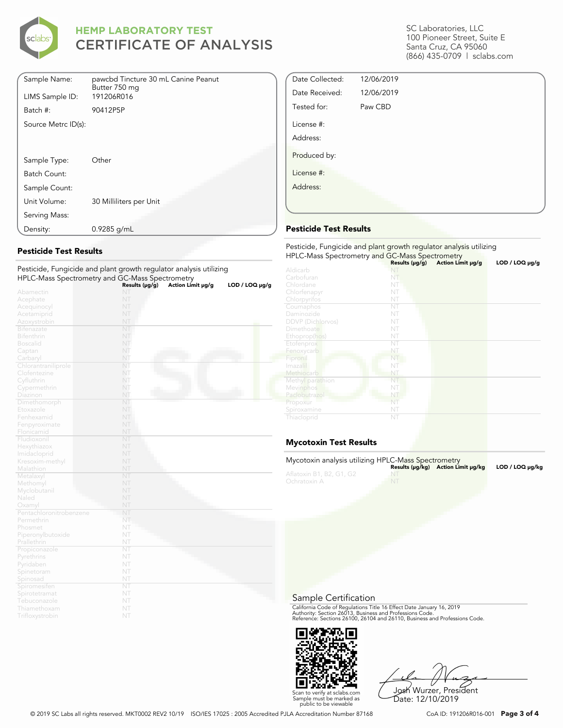

| Sample Name:        | pawcbd Tincture 30 mL Canine Peanut<br>Butter 750 mg |
|---------------------|------------------------------------------------------|
| LIMS Sample ID:     | 191206R016                                           |
| Batch #:            | 90412P5P                                             |
| Source Metrc ID(s): |                                                      |
|                     |                                                      |
|                     |                                                      |
| Sample Type:        | Other                                                |
| Batch Count:        |                                                      |
| Sample Count:       |                                                      |
| Unit Volume:        | 30 Milliliters per Unit                              |
| Serving Mass:       |                                                      |
| Density:            | $0.9285$ g/mL                                        |

### **Pesticide Test Results**

|                              | resticiac, rangiciac and piant growth regalator analysis atmosfie<br>HPLC-Mass Spectrometry and GC-Mass Spectrometry |                   |                |
|------------------------------|----------------------------------------------------------------------------------------------------------------------|-------------------|----------------|
|                              | Results (µg/g)                                                                                                       | Action Limit µg/g | LOD / LOO µg/g |
| Abamectin                    | NT                                                                                                                   |                   |                |
| Acephate                     | NT                                                                                                                   |                   |                |
| Acequinocyl                  | NT                                                                                                                   |                   |                |
| Acetamiprid                  | NT                                                                                                                   |                   |                |
| Azoxystrobin                 | NT                                                                                                                   |                   |                |
| <b>Bifenazate</b>            | NT                                                                                                                   |                   |                |
| Bifenthrin                   | NT                                                                                                                   |                   |                |
| <b>Boscalid</b>              | NT                                                                                                                   |                   |                |
| Captan                       | NT                                                                                                                   |                   |                |
| Carbaryl                     | NT                                                                                                                   |                   |                |
| Chlorantraniliprole          | NT                                                                                                                   |                   |                |
| Clofentezine                 | NT                                                                                                                   |                   |                |
| Cyfluthrin                   | NT                                                                                                                   |                   |                |
| Cypermethrin                 | NT                                                                                                                   |                   |                |
| Diazinon                     | NT                                                                                                                   |                   |                |
| Dimethomorph                 | NT                                                                                                                   |                   |                |
| Etoxazole                    | NT                                                                                                                   |                   |                |
| Fenhexamid                   | NT                                                                                                                   |                   |                |
| Fenpyroximate                | NT                                                                                                                   |                   |                |
| Flonicamid                   | NT                                                                                                                   |                   |                |
| Fludioxonil                  | NT                                                                                                                   |                   |                |
| Hexythiazox                  | NT                                                                                                                   |                   |                |
| Imidacloprid                 | NT                                                                                                                   |                   |                |
| Kresoxim-methyl              | NT                                                                                                                   |                   |                |
| Malathion                    | NT                                                                                                                   |                   |                |
| Metalaxyl                    | NT                                                                                                                   |                   |                |
| Methomyl                     | NT                                                                                                                   |                   |                |
| Myclobutanil                 | NT                                                                                                                   |                   |                |
| Naled                        | NT                                                                                                                   |                   |                |
| Oxamyl                       | NT                                                                                                                   |                   |                |
| Pentachloronitrobenzene      | NT<br>NT                                                                                                             |                   |                |
| Permethrin                   |                                                                                                                      |                   |                |
| Phosmet                      | NT<br>NT                                                                                                             |                   |                |
| Piperonylbutoxide            |                                                                                                                      |                   |                |
| Prallethrin<br>Propiconazole | NT<br>NT                                                                                                             |                   |                |
|                              | NT                                                                                                                   |                   |                |
| Pyrethrins<br>Pyridaben      | NT                                                                                                                   |                   |                |
|                              | NT                                                                                                                   |                   |                |
| Spinetoram<br>Spinosad       | NT                                                                                                                   |                   |                |
| Spiromesifen                 | NT                                                                                                                   |                   |                |
| Spirotetramat                | NT                                                                                                                   |                   |                |
| Tebuconazole                 | NT                                                                                                                   |                   |                |
| Thiamethoxam                 | NT                                                                                                                   |                   |                |
| Trifloxystrobin              | NT                                                                                                                   |                   |                |
|                              |                                                                                                                      |                   |                |

Pesticide, Fungicide and plant growth regulator analysis utilizing

#### SC Laboratories, LLC 100 Pioneer Street, Suite E Santa Cruz, CA 95060 (866) 435-0709 | sclabs.com

| Date Collected: | 12/06/2019 |  |
|-----------------|------------|--|
| Date Received:  | 12/06/2019 |  |
| Tested for:     | Paw CBD    |  |
| License #:      |            |  |
| Address:        |            |  |
| Produced by:    |            |  |
| License #:      |            |  |
| Address:        |            |  |
|                 |            |  |

### **Pesticide Test Results**

| Pesticide, Fungicide and plant growth regulator analysis utilizing<br>HPLC-Mass Spectrometry and GC-Mass Spectrometry |                |                   |                |  |
|-----------------------------------------------------------------------------------------------------------------------|----------------|-------------------|----------------|--|
|                                                                                                                       | Results (µg/g) | Action Limit µg/g | LOD / LOQ µg/g |  |
| Aldicarb                                                                                                              |                |                   |                |  |
| Carbofuran                                                                                                            | NT             |                   |                |  |
| Chlordane                                                                                                             | NT             |                   |                |  |
| Chlorfenapyr                                                                                                          | NT             |                   |                |  |
| Chlorpyrifos                                                                                                          | NT             |                   |                |  |
| Coumaphos                                                                                                             | NT             |                   |                |  |
| Daminozide                                                                                                            | NT             |                   |                |  |
| <b>DDVP</b> (Dichlorvos)                                                                                              | NT             |                   |                |  |
| Dimethoate                                                                                                            | NT             |                   |                |  |
| Ethoprop(hos)                                                                                                         | NT             |                   |                |  |
| Etofenprox                                                                                                            | NT             |                   |                |  |
| Fenoxycarb                                                                                                            | NT             |                   |                |  |
| Fipronil                                                                                                              | NT             |                   |                |  |
| Imazalil                                                                                                              | NT             |                   |                |  |
| Methiocarb                                                                                                            | NT             |                   |                |  |
| Methyl parathion                                                                                                      | NT             |                   |                |  |
| Mevinphos                                                                                                             | NT             |                   |                |  |
| Paclobutrazol                                                                                                         | NT             |                   |                |  |
| Propoxur                                                                                                              | NT             |                   |                |  |
| Spiroxamine                                                                                                           | NT             |                   |                |  |
| Thiacloprid                                                                                                           | NT             |                   |                |  |

### **Mycotoxin Test Results**

| Mycotoxin analysis utilizing HPLC-Mass Spectrometry |           | Results (µq/kq) Action Limit µq/kq | $LOD / LOQ \mu q/kg$ |
|-----------------------------------------------------|-----------|------------------------------------|----------------------|
| Aflatoxin B1, B2, G1, G2<br>Ochratoxin A            | <b>NT</b> |                                    |                      |

#### Sample Certification

California Code of Regulations Title 16 Effect Date January 16, 2019<br>Authority: Section 26013, Business and Professions Code.<br>Reference: Sections 26100, 26104 and 26110, Business and Professions Code.



Josh Wurzer, President Date: 12/10/2019